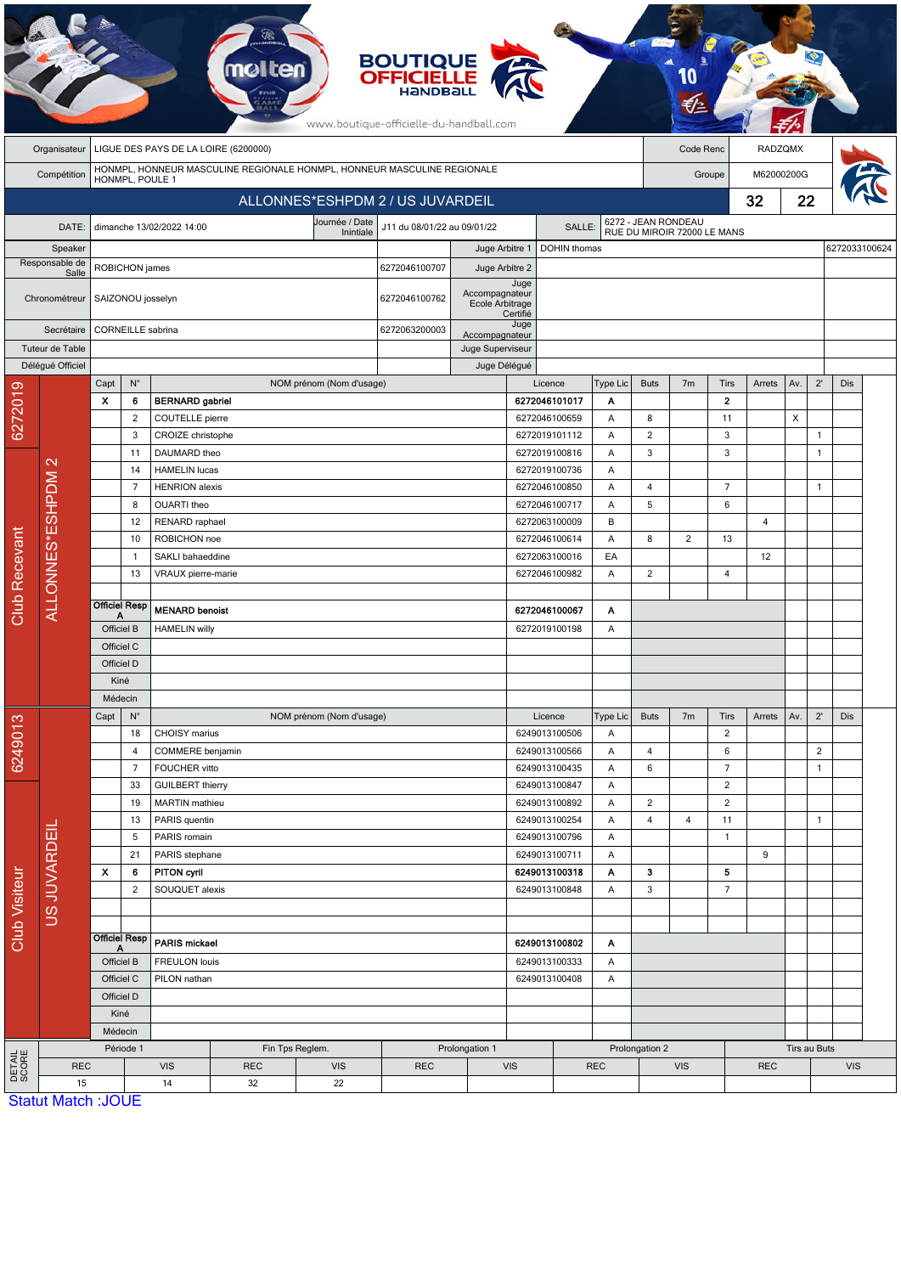|                                  |                           |                                                                                            |                                                          |                                                                   | <b>molten</b> |                              | <b>BOUTIQUE<br/>OFFICIELLE</b><br>www.boutique-officielle-du-handball.com |                          |                                          |                                |                              |                             |                |                                  |        |                            |                              |            |  |
|----------------------------------|---------------------------|--------------------------------------------------------------------------------------------|----------------------------------------------------------|-------------------------------------------------------------------|---------------|------------------------------|---------------------------------------------------------------------------|--------------------------|------------------------------------------|--------------------------------|------------------------------|-----------------------------|----------------|----------------------------------|--------|----------------------------|------------------------------|------------|--|
|                                  | Organisateur              | LIGUE DES PAYS DE LA LOIRE (6200000)<br>Code Renc                                          |                                                          |                                                                   |               |                              |                                                                           |                          |                                          |                                |                              |                             | <b>RADZQMX</b> |                                  |        |                            |                              |            |  |
|                                  | Compétition               | HONMPL, HONNEUR MASCULINE REGIONALE HONMPL, HONNEUR MASCULINE REGIONALE<br>HONMPL, POULE 1 |                                                          |                                                                   |               |                              |                                                                           |                          |                                          |                                |                              | Groupe                      |                |                                  |        | M62000200G                 |                              |            |  |
| ALLONNES*ESHPDM 2 / US JUVARDEIL |                           |                                                                                            |                                                          |                                                                   |               |                              |                                                                           |                          |                                          |                                | 32                           |                             |                |                                  | 22     |                            |                              |            |  |
|                                  | DATE:                     |                                                                                            |                                                          | dimanche 13/02/2022 14:00                                         |               | Journée / Date               | J11 du 08/01/22 au 09/01/22                                               |                          |                                          | SALLE:                         | 6272 - JEAN RONDEAU          |                             |                |                                  |        |                            |                              |            |  |
|                                  | Speaker                   |                                                                                            |                                                          |                                                                   |               | Inintiale                    |                                                                           | Juge Arbitre 1           |                                          | DOHIN thomas                   |                              | RUE DU MIROIR 72000 LE MANS |                |                                  |        | 6272033100624              |                              |            |  |
|                                  | Responsable de<br>Salle   |                                                                                            | ROBICHON james                                           |                                                                   |               |                              |                                                                           | Juge Arbitre 2           |                                          |                                |                              |                             |                |                                  |        |                            |                              |            |  |
|                                  |                           |                                                                                            | SAIZONOU josselyn                                        |                                                                   |               |                              |                                                                           | Accompagnateur           | Juge                                     |                                |                              |                             |                |                                  |        |                            |                              |            |  |
|                                  | Chronométreur             |                                                                                            |                                                          |                                                                   |               |                              |                                                                           | Ecole Arbitrage          | Certifié                                 |                                |                              |                             |                |                                  |        |                            |                              |            |  |
|                                  | Secrétaire                |                                                                                            | CORNEILLE sabrina                                        |                                                                   |               |                              |                                                                           | Accompagnateur           | Juge                                     |                                |                              |                             |                |                                  |        |                            |                              |            |  |
|                                  | Tuteur de Table           |                                                                                            |                                                          |                                                                   |               |                              |                                                                           | Juge Superviseur         |                                          |                                |                              |                             |                |                                  |        |                            |                              |            |  |
|                                  | Déléqué Officiel          |                                                                                            | $\mathsf{N}^\circ$                                       |                                                                   |               |                              |                                                                           | Juge Délégué             |                                          |                                |                              | <b>Buts</b>                 |                |                                  |        |                            | $2^{\prime}$                 | <b>Dis</b> |  |
| 6272019                          |                           | Capt<br>x                                                                                  | 6                                                        | <b>BERNARD</b> gabriel                                            |               | NOM prénom (Nom d'usage)     |                                                                           |                          |                                          | Licence<br>6272046101017       | Type Lic<br>Α                |                             | 7m             | Tirs<br>$\mathbf{2}$             | Arrets | Av.                        |                              |            |  |
|                                  |                           |                                                                                            | $\overline{2}$                                           | <b>COUTELLE</b> pierre                                            |               |                              |                                                                           |                          |                                          | 6272046100659                  | Α                            | 8                           |                | 11                               | X      |                            |                              |            |  |
|                                  |                           |                                                                                            | 3                                                        | CROIZE christophe                                                 |               |                              |                                                                           |                          |                                          | 6272019101112                  | Α                            | $\overline{2}$<br>3         |                | 3<br>3                           |        |                            | $\mathbf{1}$<br>$\mathbf{1}$ |            |  |
|                                  | $\mathbf{\Omega}$         |                                                                                            | 11                                                       | DAUMARD theo                                                      |               |                              |                                                                           |                          |                                          | 6272019100816                  | Α                            |                             |                |                                  |        |                            |                              |            |  |
|                                  |                           | 14                                                                                         |                                                          | <b>HAMELIN lucas</b>                                              |               |                              |                                                                           |                          |                                          | 6272019100736                  | Α                            |                             |                |                                  |        |                            |                              |            |  |
|                                  |                           | $\overline{7}$                                                                             |                                                          | <b>HENRION</b> alexis                                             |               |                              |                                                                           |                          | 6272046100850                            |                                | Α                            | 4                           |                | $\overline{7}$                   |        |                            | $\mathbf{1}$                 |            |  |
|                                  | ALLONNES*ESHPDM           | 8<br>12                                                                                    |                                                          | OUARTI theo<br>RENARD raphael                                     |               |                              |                                                                           |                          | 6272046100717<br>Α<br>6272063100009<br>B |                                |                              | 5                           |                | $6\phantom{1}6$                  | 4      |                            |                              |            |  |
|                                  |                           |                                                                                            | 10                                                       | ROBICHON noe                                                      |               |                              |                                                                           |                          | 6272046100614<br>Α                       |                                | 8                            | $\overline{2}$              | 13             |                                  |        |                            |                              |            |  |
|                                  |                           |                                                                                            | $\mathbf{1}$                                             | SAKLI bahaeddine                                                  |               |                              |                                                                           |                          | 6272063100016<br>EA                      |                                |                              |                             |                | 12                               |        |                            |                              |            |  |
|                                  |                           |                                                                                            | 13                                                       | VRAUX pierre-marie                                                |               |                              |                                                                           |                          |                                          | 6272046100982                  | Α                            | $\overline{c}$              |                | $\overline{4}$                   |        |                            |                              |            |  |
|                                  |                           | <b>Officiel Resp</b>                                                                       |                                                          |                                                                   |               |                              |                                                                           |                          |                                          |                                |                              |                             |                |                                  |        |                            |                              |            |  |
| Club Recevant                    |                           |                                                                                            |                                                          | <b>MENARD benoist</b>                                             |               |                              |                                                                           |                          | 6272046100067                            | Α                              |                              |                             |                |                                  |        |                            |                              |            |  |
|                                  |                           | Officiel B                                                                                 |                                                          | <b>HAMELIN willy</b>                                              |               |                              |                                                                           | 6272019100198<br>A       |                                          |                                |                              |                             |                |                                  |        |                            |                              |            |  |
|                                  |                           | Officiel C<br>Officiel D                                                                   |                                                          |                                                                   |               |                              |                                                                           |                          |                                          |                                |                              |                             |                |                                  |        |                            |                              |            |  |
|                                  |                           | Kiné                                                                                       |                                                          |                                                                   |               |                              |                                                                           |                          |                                          |                                |                              |                             |                |                                  |        |                            |                              |            |  |
|                                  |                           | Médecin                                                                                    |                                                          |                                                                   |               |                              |                                                                           |                          |                                          |                                |                              |                             |                |                                  |        |                            |                              |            |  |
|                                  |                           | $N^{\circ}$<br>Capt                                                                        |                                                          |                                                                   |               | NOM prénom (Nom d'usage)     |                                                                           |                          |                                          | Licence                        | Type Lic                     | <b>Buts</b>                 | 7 <sub>m</sub> | Tirs                             | Arrets | Av.                        | $2^{\prime}$                 | <b>Dis</b> |  |
| 6249013                          |                           |                                                                                            | 18                                                       | CHOISY marius                                                     |               |                              |                                                                           |                          |                                          | 6249013100506                  | Α                            |                             |                | $\overline{c}$                   |        |                            |                              |            |  |
|                                  |                           |                                                                                            | COMMERE benjamin<br>4                                    |                                                                   |               | 6249013100566                |                                                                           | Α                        | 4                                        |                                | 6                            |                             |                | $\overline{2}$                   |        |                            |                              |            |  |
| Club Visiteur                    |                           |                                                                                            | $\overline{7}$                                           | FOUCHER vitto                                                     |               |                              |                                                                           |                          |                                          | 6249013100435<br>6249013100847 | Α                            | 6                           |                | $\overline{7}$<br>$\overline{2}$ |        |                            | $\mathbf{1}$                 |            |  |
|                                  |                           |                                                                                            | 33<br>19                                                 | <b>GUILBERT</b> thierry<br>6249013100892<br><b>MARTIN</b> mathieu |               |                              |                                                                           | Α<br>Α                   | $\overline{2}$                           |                                | $\overline{c}$               |                             |                |                                  |        |                            |                              |            |  |
|                                  |                           |                                                                                            | 13                                                       | PARIS quentin                                                     |               |                              |                                                                           |                          |                                          | 6249013100254                  | Α                            | 4                           | 4              | 11                               |        |                            | $\mathbf{1}$                 |            |  |
|                                  | <b>US JUVARDEIL</b>       |                                                                                            | 5<br>PARIS romain                                        |                                                                   |               | 6249013100796                |                                                                           | Α                        |                                          |                                | $\mathbf{1}$                 |                             |                |                                  |        |                            |                              |            |  |
|                                  |                           |                                                                                            | 21                                                       | PARIS stephane                                                    |               |                              |                                                                           |                          |                                          | 6249013100711                  | Α                            |                             |                |                                  | 9      |                            |                              |            |  |
|                                  |                           | X                                                                                          | 6                                                        | <b>PITON cyril</b>                                                |               |                              |                                                                           |                          |                                          | 6249013100318                  | Α                            | 3                           |                | 5                                |        |                            |                              |            |  |
|                                  |                           |                                                                                            | $\overline{2}$                                           | SOUQUET alexis                                                    |               |                              | 6249013100848                                                             |                          | Α                                        | 3                              |                              | $\overline{7}$              |                |                                  |        |                            |                              |            |  |
|                                  |                           |                                                                                            |                                                          |                                                                   |               |                              |                                                                           |                          |                                          |                                |                              |                             |                |                                  |        |                            |                              |            |  |
|                                  |                           |                                                                                            | <b>Officiel Resp</b>                                     | PARIS mickael                                                     |               |                              |                                                                           | 6249013100802<br>Α       |                                          |                                |                              |                             |                |                                  |        |                            |                              |            |  |
|                                  |                           | A<br>Officiel B<br>Officiel C                                                              |                                                          | <b>FREULON louis</b><br>PILON nathan                              |               |                              |                                                                           |                          | 6249013100333<br>Α<br>6249013100408<br>Α |                                |                              |                             |                |                                  |        |                            |                              |            |  |
|                                  |                           |                                                                                            |                                                          |                                                                   |               |                              |                                                                           |                          |                                          |                                |                              |                             |                |                                  |        |                            |                              |            |  |
|                                  |                           |                                                                                            | Officiel D                                               |                                                                   |               |                              |                                                                           |                          |                                          |                                |                              |                             |                |                                  |        |                            |                              |            |  |
|                                  |                           |                                                                                            | Kiné                                                     |                                                                   |               |                              |                                                                           |                          |                                          |                                |                              |                             |                |                                  |        |                            |                              |            |  |
|                                  |                           | Médecin                                                                                    |                                                          |                                                                   |               |                              |                                                                           |                          |                                          |                                |                              |                             |                |                                  |        |                            |                              |            |  |
| DETAIL<br>SCORE                  | <b>REC</b>                |                                                                                            | Période 1<br>Fin Tps Reglem.<br><b>VIS</b><br><b>REC</b> |                                                                   | <b>VIS</b>    | Prolongation 1<br><b>REC</b> |                                                                           | <b>VIS</b><br><b>REC</b> |                                          |                                | Prolongation 2<br><b>VIS</b> |                             |                | <b>REC</b>                       |        | Tirs au Buts<br><b>VIS</b> |                              |            |  |
|                                  | 15                        |                                                                                            |                                                          | 14                                                                | 32            | 22                           |                                                                           |                          |                                          |                                |                              |                             |                |                                  |        |                            |                              |            |  |
|                                  | <b>Statut Match: JOUE</b> |                                                                                            |                                                          |                                                                   |               |                              |                                                                           |                          |                                          |                                |                              |                             |                |                                  |        |                            |                              |            |  |

a B